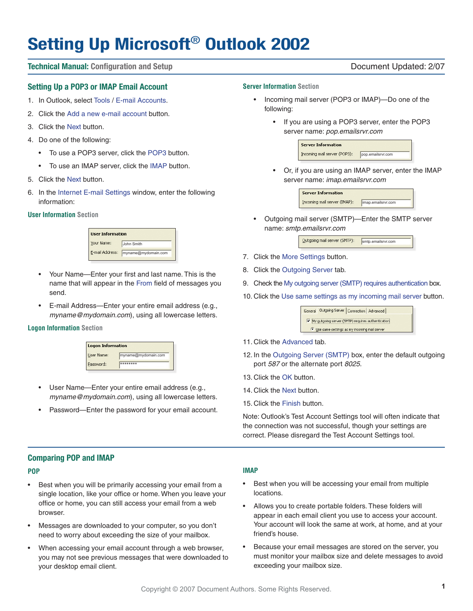# **Setting Up Microsoft**® **Outlook 2002**

#### **Technical Manual: Configuration and Setup** Document Updated: 2/07

#### **Setting Up a POP3 or IMAP Email Account**

- 1. In Outlook, select Tools / E-mail Accounts.
- 2. Click the Add a new e-mail account button.
- 3. Click the Next button.
- 4. Do one of the following:
	- To use a POP3 server, click the POP3 button.
	- To use an IMAP server, click the IMAP button.
- 5. Click the Next button.
- 6. In the Internet E-mail Settings window, enter the following information:

#### **User Information Section**

| <b>User Information</b> |                     |
|-------------------------|---------------------|
| Your Name:              | John Smith          |
| E-mail Address:         | myname@mydomain.com |

- Your Name—Enter your first and last name. This is the name that will appear in the From field of messages you send.
- E-mail Address—Enter your entire email address (e.g., myname@mydomain.com), using all lowercase letters.

#### **Logon Information Section**

| <b>Logon Information</b> |                     |
|--------------------------|---------------------|
| User Name:               | myname@mydomain.com |
| Password:                | ********            |

- User Name-Enter your entire email address (e.g., myname@mydomain.com), using all lowercase letters.
- Password-Enter the password for your email account.

#### **Server Information Section**

- Incoming mail server (POP3 or IMAP)—Do one of the following:
	- If you are using a POP3 server, enter the POP3 server name: pop.emailsrvr.com

| <b>Server Information</b>    |                   |
|------------------------------|-------------------|
| Incoming mail server (POP3): | pop.emailsrvr.com |

• Or, if you are using an IMAP server, enter the IMAP server name: imap.emailsrvr.com



• Outgoing mail server (SMTP)—Enter the SMTP server name: smtp.emailsrvr.com

| Outgoing mail server (SMTP): | smtp.emailsrvr.com |
|------------------------------|--------------------|
|                              |                    |

- 7. Click the More Settings button.
- 8. Click the Outgoing Server tab.
- 9. Check the My outgoing server (SMTP) requires authentication box.
- 10. Click the Use same settings as my incoming mail server button.

General Outgoing Server | Connection | Advanced | My outgoing server (SMTP) requires authentication  $\Theta$  Use same settings as my incoming mail server

- 11. Click the Advanced tab.
- 12. In the Outgoing Server (SMTP) box, enter the default outgoing port 587 or the alternate port 8025.
- 13. Click the OK button.
- 14. Click the Next button.
- 15. Click the Finish button.

Note: Outlook's Test Account Settings tool will often indicate that the connection was not successful, though your settings are correct. Please disregard the Test Account Settings tool.

#### **Comparing POP and IMAP**

#### **POP**

- Best when you will be primarily accessing your email from a single location, like your office or home. When you leave your office or home, you can still access your email from a web browser.
- Messages are downloaded to your computer, so you don't need to worry about exceeding the size of your mailbox.
- When accessing your email account through a web browser, you may not see previous messages that were downloaded to your desktop email client.

#### **IMAP**

- Best when you will be accessing your email from multiple locations.
- Allows you to create portable folders. These folders will appear in each email client you use to access your account. Your account will look the same at work, at home, and at your friend's house.
- Because your email messages are stored on the server, you must monitor your mailbox size and delete messages to avoid exceeding your mailbox size.